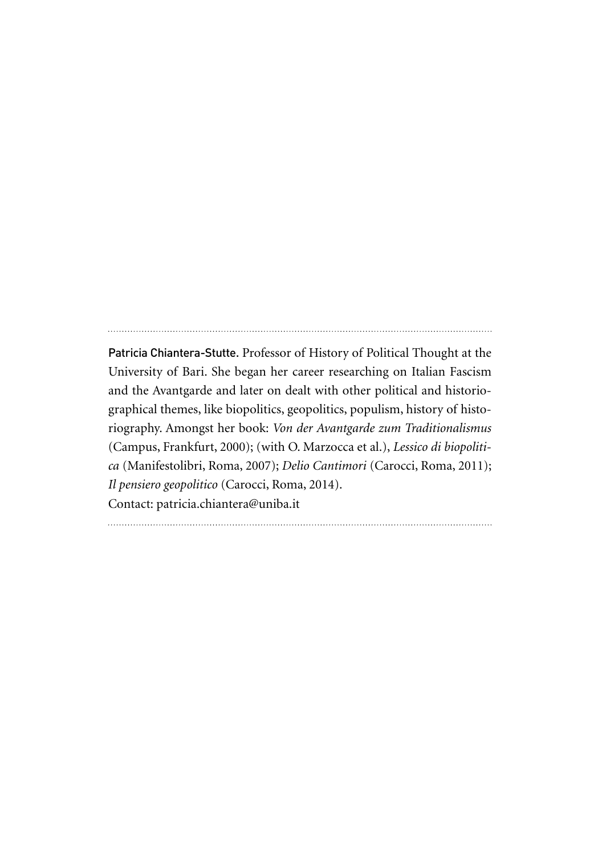Patricia Chiantera-Stutte. Professor of History of Political Thought at the University of Bari. She began her career researching on Italian Fascism and the Avantgarde and later on dealt with other political and historiographical themes, like biopolitics, geopolitics, populism, history of historiography. Amongst her book: *Von der Avantgarde zum Traditionalismus* (Campus, Frankfurt, 2000); (with O. Marzocca et al.), *Lessico di biopolitica* (Manifestolibri, Roma, 2007); *Delio Cantimori* (Carocci, Roma, 2011); *Il pensiero geopolitico* (Carocci, Roma, 2014). Contact: patricia.chiantera@uniba.it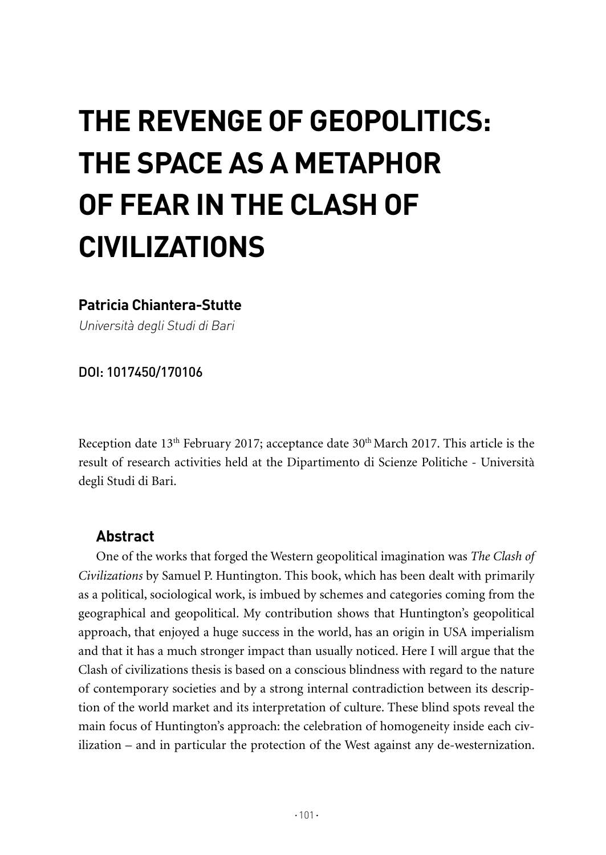# **THE REVENGE OF GEOPOLITICS: THE SPACE AS A METAPHOR OF FEAR IN THE CLASH OF CIVILIZATIONS**

#### **Patricia Chiantera-Stutte**

Università degli Studi di Bari

DOI: 1017450/170106

Reception date 13<sup>th</sup> February 2017; acceptance date 30<sup>th</sup> March 2017. This article is the result of research activities held at the Dipartimento di Scienze Politiche - Università degli Studi di Bari.

#### **Abstract**

One of the works that forged the Western geopolitical imagination was *The Clash of Civilizations* by Samuel P. Huntington. This book, which has been dealt with primarily as a political, sociological work, is imbued by schemes and categories coming from the geographical and geopolitical. My contribution shows that Huntington's geopolitical approach, that enjoyed a huge success in the world, has an origin in USA imperialism and that it has a much stronger impact than usually noticed. Here I will argue that the Clash of civilizations thesis is based on a conscious blindness with regard to the nature of contemporary societies and by a strong internal contradiction between its description of the world market and its interpretation of culture. These blind spots reveal the main focus of Huntington's approach: the celebration of homogeneity inside each civilization – and in particular the protection of the West against any de-westernization.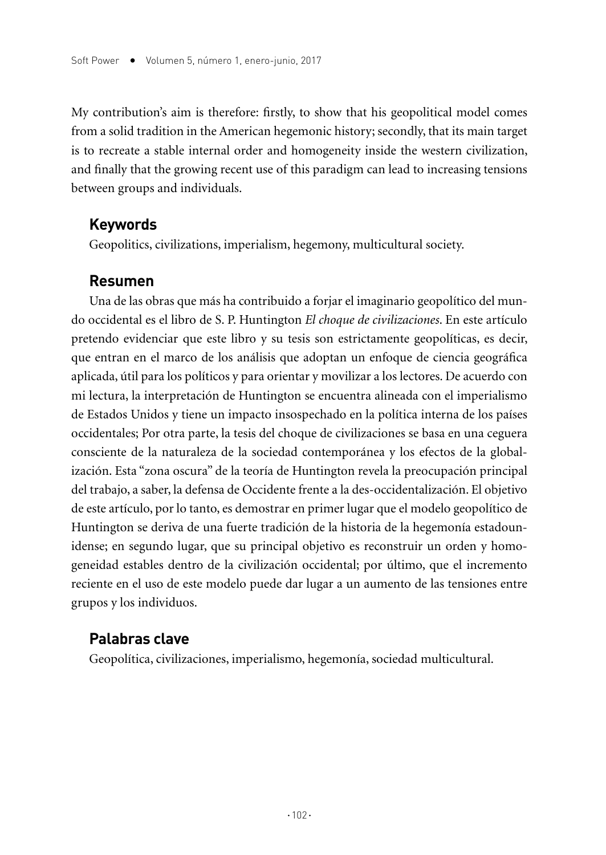My contribution's aim is therefore: firstly, to show that his geopolitical model comes from a solid tradition in the American hegemonic history; secondly, that its main target is to recreate a stable internal order and homogeneity inside the western civilization, and finally that the growing recent use of this paradigm can lead to increasing tensions between groups and individuals.

#### **Keywords**

Geopolitics, civilizations, imperialism, hegemony, multicultural society.

#### **Resumen**

Una de las obras que más ha contribuido a forjar el imaginario geopolítico del mundo occidental es el libro de S. P. Huntington *El choque de civilizaciones*. En este artículo pretendo evidenciar que este libro y su tesis son estrictamente geopolíticas, es decir, que entran en el marco de los análisis que adoptan un enfoque de ciencia geográfica aplicada, útil para los políticos y para orientar y movilizar a los lectores. De acuerdo con mi lectura, la interpretación de Huntington se encuentra alineada con el imperialismo de Estados Unidos y tiene un impacto insospechado en la política interna de los países occidentales; Por otra parte, la tesis del choque de civilizaciones se basa en una ceguera consciente de la naturaleza de la sociedad contemporánea y los efectos de la globalización. Esta "zona oscura" de la teoría de Huntington revela la preocupación principal del trabajo, a saber, la defensa de Occidente frente a la des-occidentalización. El objetivo de este artículo, por lo tanto, es demostrar en primer lugar que el modelo geopolítico de Huntington se deriva de una fuerte tradición de la historia de la hegemonía estadounidense; en segundo lugar, que su principal objetivo es reconstruir un orden y homogeneidad estables dentro de la civilización occidental; por último, que el incremento reciente en el uso de este modelo puede dar lugar a un aumento de las tensiones entre grupos y los individuos.

## **Palabras clave**

Geopolítica, civilizaciones, imperialismo, hegemonía, sociedad multicultural.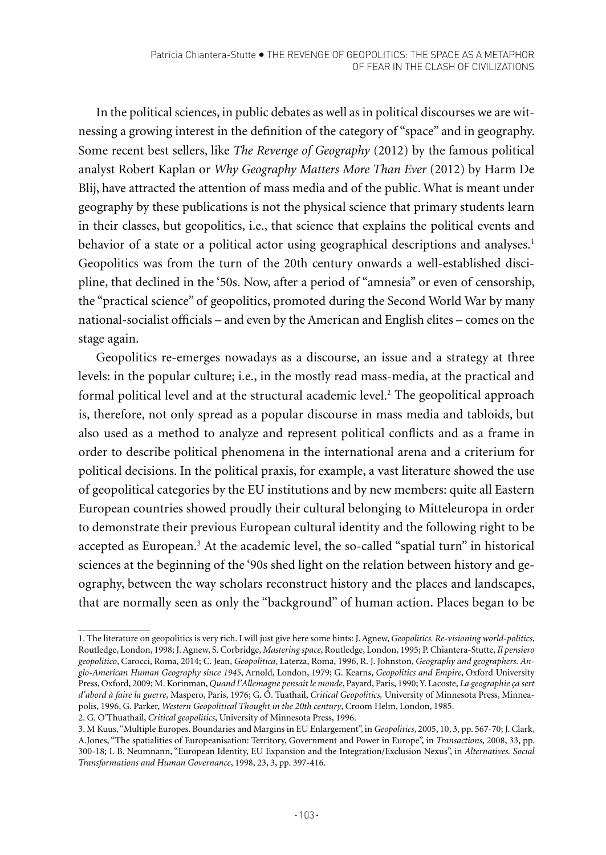In the political sciences, in public debates as well as in political discourses we are witnessing a growing interest in the definition of the category of "space" and in geography. Some recent best sellers, like *The Revenge of Geography* (2012) by the famous political analyst Robert Kaplan or *Why Geography Matters More Than Ever* (2012) by Harm De Blij, have attracted the attention of mass media and of the public. What is meant under geography by these publications is not the physical science that primary students learn in their classes, but geopolitics, i.e., that science that explains the political events and behavior of a state or a political actor using geographical descriptions and analyses.<sup>1</sup> Geopolitics was from the turn of the 20th century onwards a well-established discipline, that declined in the '50s. Now, after a period of "amnesia" or even of censorship, the "practical science" of geopolitics, promoted during the Second World War by many national-socialist officials – and even by the American and English elites – comes on the stage again.

Geopolitics re-emerges nowadays as a discourse, an issue and a strategy at three levels: in the popular culture; i.e., in the mostly read mass-media, at the practical and formal political level and at the structural academic level.2 The geopolitical approach is, therefore, not only spread as a popular discourse in mass media and tabloids, but also used as a method to analyze and represent political conflicts and as a frame in order to describe political phenomena in the international arena and a criterium for political decisions. In the political praxis, for example, a vast literature showed the use of geopolitical categories by the EU institutions and by new members: quite all Eastern European countries showed proudly their cultural belonging to Mitteleuropa in order to demonstrate their previous European cultural identity and the following right to be accepted as European.<sup>3</sup> At the academic level, the so-called "spatial turn" in historical sciences at the beginning of the '90s shed light on the relation between history and geography, between the way scholars reconstruct history and the places and landscapes, that are normally seen as only the "background" of human action. Places began to be

<sup>1.</sup> The literature on geopolitics is very rich. I will just give here some hints: J. Agnew, *Geopolitics. Re-visioning world-politics*, Routledge, London, 1998; J. Agnew, S. Corbridge, *Mastering space*, Routledge, London, 1995; P. Chiantera-Stutte, *Il pensiero geopolitico*, Carocci, Roma, 2014; C. Jean, *Geopolitica*, Laterza, Roma, 1996, R. J. Johnston, *Geography and geographers. Anglo-American Human Geography since 1945*, Arnold, London, 1979; G. Kearns, *Geopolitics and Empire*, Oxford University Press, Oxford, 2009; M. Korinman, *Quand l'Allemagne pensait le monde*, Payard, Paris, 1990; Y. Lacoste, *La geographie ça sert d'abord à faire la guerre*, Maspero, Paris, 1976; G. Ó. Tuathail, *Critical Geopolitics,* University of Minnesota Press, Minneapolis, 1996, G. Parker, *Western Geopolitical Thought in the 20th century*, Croom Helm, London, 1985.

<sup>2.</sup> G. O'Thuathail, *Critical geopolitics*, University of Minnesota Press, 1996.

<sup>3.</sup> M Kuus, "Multiple Europes. Boundaries and Margins in EU Enlargement", in *Geopolitics*, 2005, 10, 3, pp. 567-70; J. Clark, A.Jones, "The spatialities of Europeanisation: Territory, Government and Power in Europe", in *Transactions*, 2008, 33, pp. 300-18; I. B. Neumnann, "European Identity, EU Expansion and the Integration/Exclusion Nexus", in *Alternatives. Social Transformations and Human Governance*, 1998, 23, 3, pp. 397-416.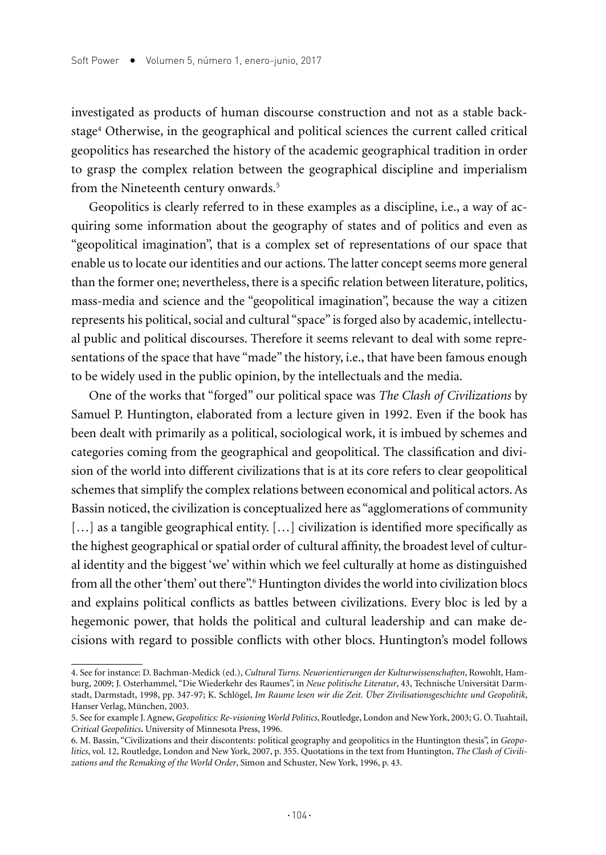investigated as products of human discourse construction and not as a stable backstage4 Otherwise, in the geographical and political sciences the current called critical geopolitics has researched the history of the academic geographical tradition in order to grasp the complex relation between the geographical discipline and imperialism from the Nineteenth century onwards.<sup>5</sup>

Geopolitics is clearly referred to in these examples as a discipline, i.e., a way of acquiring some information about the geography of states and of politics and even as "geopolitical imagination", that is a complex set of representations of our space that enable us to locate our identities and our actions. The latter concept seems more general than the former one; nevertheless, there is a specific relation between literature, politics, mass-media and science and the "geopolitical imagination", because the way a citizen represents his political, social and cultural "space" is forged also by academic, intellectual public and political discourses. Therefore it seems relevant to deal with some representations of the space that have "made" the history, i.e., that have been famous enough to be widely used in the public opinion, by the intellectuals and the media.

One of the works that "forged" our political space was *The Clash of Civilizations* by Samuel P. Huntington, elaborated from a lecture given in 1992. Even if the book has been dealt with primarily as a political, sociological work, it is imbued by schemes and categories coming from the geographical and geopolitical. The classification and division of the world into different civilizations that is at its core refers to clear geopolitical schemes that simplify the complex relations between economical and political actors. As Bassin noticed, the civilization is conceptualized here as "agglomerations of community [...] as a tangible geographical entity. [...] civilization is identified more specifically as the highest geographical or spatial order of cultural affinity, the broadest level of cultural identity and the biggest 'we' within which we feel culturally at home as distinguished from all the other 'them' out there".<sup>6</sup> Huntington divides the world into civilization blocs and explains political conflicts as battles between civilizations. Every bloc is led by a hegemonic power, that holds the political and cultural leadership and can make decisions with regard to possible conflicts with other blocs. Huntington's model follows

<sup>4.</sup> See for instance: D. Bachman-Medick (ed.), *Cultural Turns. Neuorientierungen der Kulturwissenschaften*, Rowohlt, Hamburg, 2009; J. Osterhammel, "Die Wiederkehr des Raumes", in *Neue politische Literatur*, 43, Technische Universität Darmstadt, Darmstadt, 1998, pp. 347-97; K. Schlögel, *Im Raume lesen wir die Zeit. Über Zivilisationsgeschichte und Geopolitik*, Hanser Verlag, München, 2003.

<sup>5.</sup> See for example J. Agnew, *Geopolitics: Re-visioning World Politics*, Routledge, London and New York, 2003; G. Ó. Tuahtail, *Critical Geopolitics.* University of Minnesota Press, 1996.

<sup>6.</sup> M. Bassin, "Civilizations and their discontents: political geography and geopolitics in the Huntington thesis", in *Geopolitics*, vol. 12, Routledge, London and New York, 2007, p. 355. Quotations in the text from Huntington, *The Clash of Civilizations and the Remaking of the World Order*, Simon and Schuster, New York, 1996, p. 43.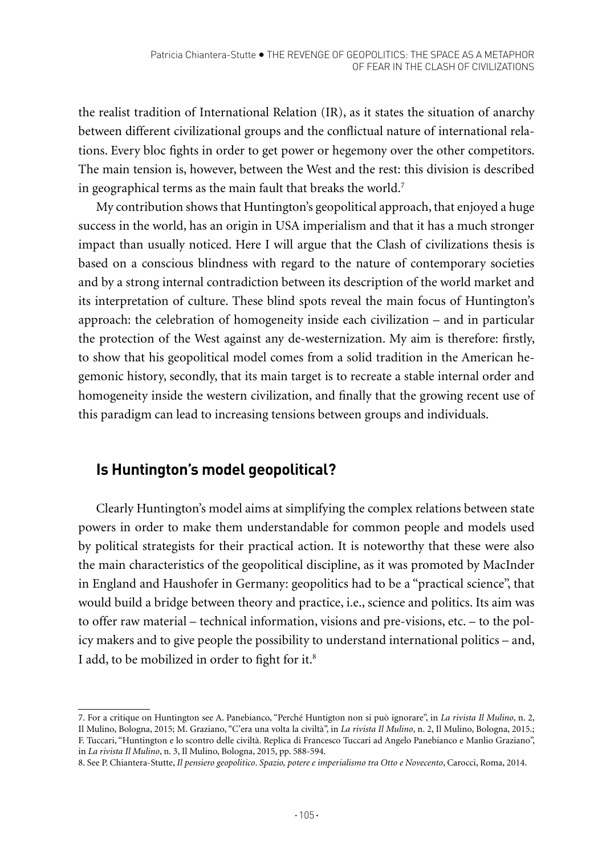the realist tradition of International Relation (IR), as it states the situation of anarchy between different civilizational groups and the conflictual nature of international relations. Every bloc fights in order to get power or hegemony over the other competitors. The main tension is, however, between the West and the rest: this division is described in geographical terms as the main fault that breaks the world.7

My contribution shows that Huntington's geopolitical approach, that enjoyed a huge success in the world, has an origin in USA imperialism and that it has a much stronger impact than usually noticed. Here I will argue that the Clash of civilizations thesis is based on a conscious blindness with regard to the nature of contemporary societies and by a strong internal contradiction between its description of the world market and its interpretation of culture. These blind spots reveal the main focus of Huntington's approach: the celebration of homogeneity inside each civilization – and in particular the protection of the West against any de-westernization. My aim is therefore: firstly, to show that his geopolitical model comes from a solid tradition in the American hegemonic history, secondly, that its main target is to recreate a stable internal order and homogeneity inside the western civilization, and finally that the growing recent use of this paradigm can lead to increasing tensions between groups and individuals.

# **Is Huntington's model geopolitical?**

Clearly Huntington's model aims at simplifying the complex relations between state powers in order to make them understandable for common people and models used by political strategists for their practical action. It is noteworthy that these were also the main characteristics of the geopolitical discipline, as it was promoted by MacInder in England and Haushofer in Germany: geopolitics had to be a "practical science", that would build a bridge between theory and practice, i.e., science and politics. Its aim was to offer raw material – technical information, visions and pre-visions, etc. – to the policy makers and to give people the possibility to understand international politics – and, I add, to be mobilized in order to fight for it.<sup>8</sup>

<sup>7.</sup> For a critique on Huntington see A. Panebianco, "Perché Huntigton non si può ignorare", in *La rivista Il Mulino*, n. 2, Il Mulino, Bologna, 2015; M. Graziano, "C'era una volta la civiltà", in *La rivista Il Mulino*, n. 2, Il Mulino, Bologna, 2015.; F. Tuccari, "Huntington e lo scontro delle civiltà. Replica di Francesco Tuccari ad Angelo Panebianco e Manlio Graziano", in *La rivista Il Mulino*, n. 3, Il Mulino, Bologna, 2015, pp. 588-594.

<sup>8.</sup> See P. Chiantera-Stutte, *Il pensiero geopolitico*. *Spazio, potere e imperialismo tra Otto e Novecento*, Carocci, Roma, 2014.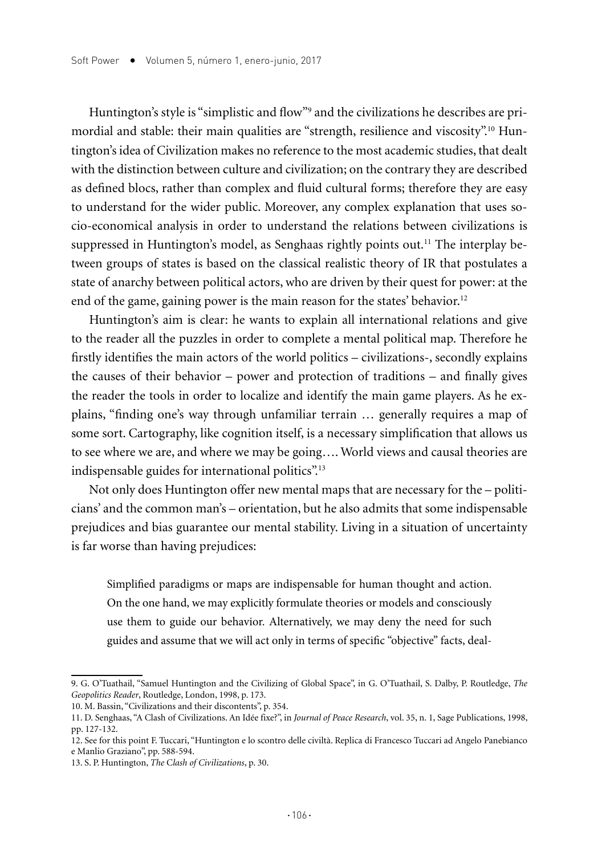Huntington's style is "simplistic and flow"9 and the civilizations he describes are primordial and stable: their main qualities are "strength, resilience and viscosity".10 Huntington's idea of Civilization makes no reference to the most academic studies, that dealt with the distinction between culture and civilization; on the contrary they are described as defined blocs, rather than complex and fluid cultural forms; therefore they are easy to understand for the wider public. Moreover, any complex explanation that uses socio-economical analysis in order to understand the relations between civilizations is suppressed in Huntington's model, as Senghaas rightly points out.<sup>11</sup> The interplay between groups of states is based on the classical realistic theory of IR that postulates a state of anarchy between political actors, who are driven by their quest for power: at the end of the game, gaining power is the main reason for the states' behavior.<sup>12</sup>

Huntington's aim is clear: he wants to explain all international relations and give to the reader all the puzzles in order to complete a mental political map. Therefore he firstly identifies the main actors of the world politics – civilizations-, secondly explains the causes of their behavior – power and protection of traditions – and finally gives the reader the tools in order to localize and identify the main game players. As he explains, "finding one's way through unfamiliar terrain … generally requires a map of some sort. Cartography, like cognition itself, is a necessary simplification that allows us to see where we are, and where we may be going…. World views and causal theories are indispensable guides for international politics".13

Not only does Huntington offer new mental maps that are necessary for the – politicians' and the common man's – orientation, but he also admits that some indispensable prejudices and bias guarantee our mental stability. Living in a situation of uncertainty is far worse than having prejudices:

Simplified paradigms or maps are indispensable for human thought and action. On the one hand, we may explicitly formulate theories or models and consciously use them to guide our behavior. Alternatively, we may deny the need for such guides and assume that we will act only in terms of specific "objective" facts, deal-

<sup>9.</sup> G. O'Tuathail, "Samuel Huntington and the Civilizing of Global Space", in G. O'Tuathail, S. Dalby, P. Routledge, *The Geopolitics Reader*, Routledge, London, 1998, p. 173.

<sup>10.</sup> M. Bassin, "Civilizations and their discontents", p. 354.

<sup>11.</sup> D. Senghaas, "A Clash of Civilizations. An Idée fixe?", in *Journal of Peace Research*, vol. 35, n. 1, Sage Publications, 1998, pp. 127-132.

<sup>12.</sup> See for this point F. Tuccari, "Huntington e lo scontro delle civiltà. Replica di Francesco Tuccari ad Angelo Panebianco e Manlio Graziano", pp. 588-594.

<sup>13.</sup> S. P. Huntington, *The* C*lash of Civilizations*, p. 30.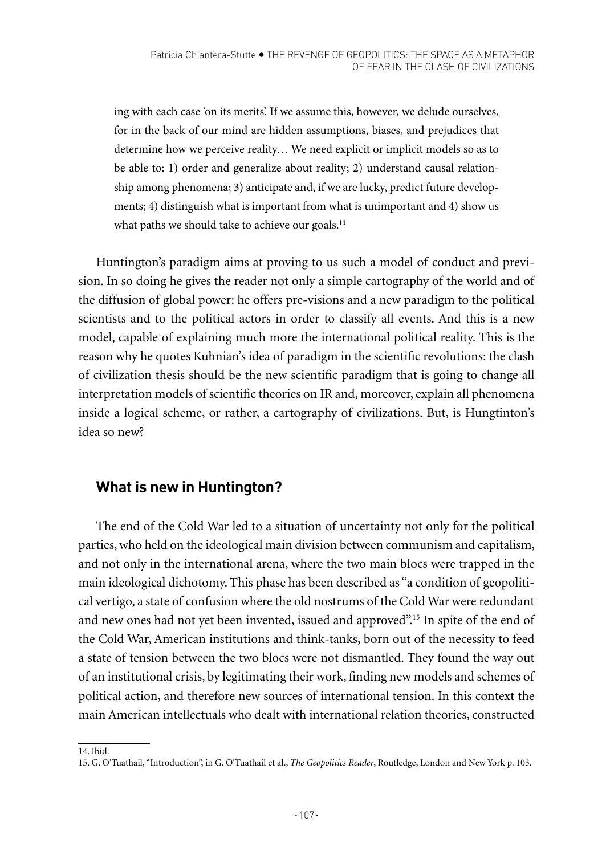ing with each case 'on its merits'. If we assume this, however, we delude ourselves, for in the back of our mind are hidden assumptions, biases, and prejudices that determine how we perceive reality… We need explicit or implicit models so as to be able to: 1) order and generalize about reality; 2) understand causal relationship among phenomena; 3) anticipate and, if we are lucky, predict future developments; 4) distinguish what is important from what is unimportant and 4) show us what paths we should take to achieve our goals.<sup>14</sup>

Huntington's paradigm aims at proving to us such a model of conduct and prevision. In so doing he gives the reader not only a simple cartography of the world and of the diffusion of global power: he offers pre-visions and a new paradigm to the political scientists and to the political actors in order to classify all events. And this is a new model, capable of explaining much more the international political reality. This is the reason why he quotes Kuhnian's idea of paradigm in the scientific revolutions: the clash of civilization thesis should be the new scientific paradigm that is going to change all interpretation models of scientific theories on IR and, moreover, explain all phenomena inside a logical scheme, or rather, a cartography of civilizations. But, is Hungtinton's idea so new?

# **What is new in Huntington?**

The end of the Cold War led to a situation of uncertainty not only for the political parties, who held on the ideological main division between communism and capitalism, and not only in the international arena, where the two main blocs were trapped in the main ideological dichotomy. This phase has been described as "a condition of geopolitical vertigo, a state of confusion where the old nostrums of the Cold War were redundant and new ones had not yet been invented, issued and approved".15 In spite of the end of the Cold War, American institutions and think-tanks, born out of the necessity to feed a state of tension between the two blocs were not dismantled. They found the way out of an institutional crisis, by legitimating their work, finding new models and schemes of political action, and therefore new sources of international tension. In this context the main American intellectuals who dealt with international relation theories, constructed

<sup>14.</sup> Ibid.

<sup>15.</sup> G. O'Tuathail, "Introduction", in G. O'Tuathail et al., *The Geopolitics Reader*, Routledge, London and New York p. 103.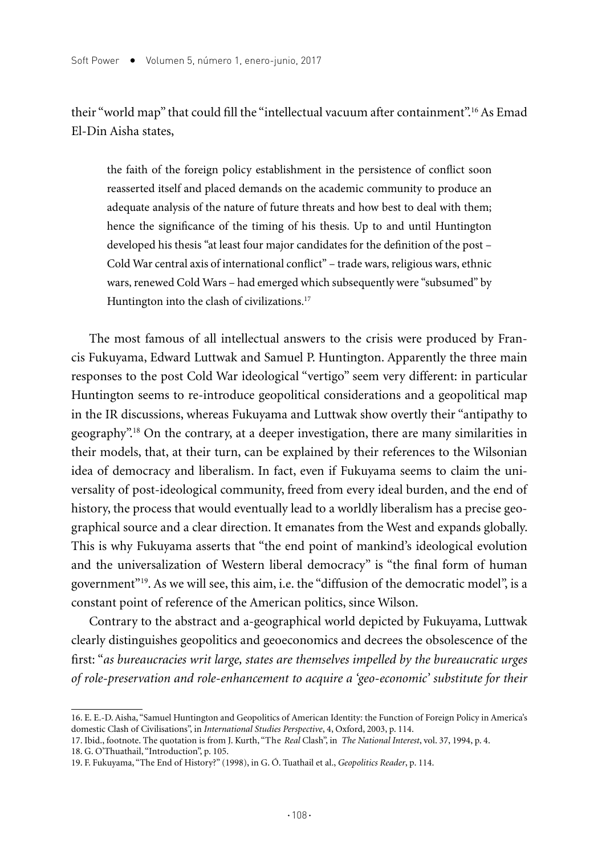their "world map" that could fill the "intellectual vacuum after containment".<sup>16</sup> As Emad El-Din Aisha states,

the faith of the foreign policy establishment in the persistence of conflict soon reasserted itself and placed demands on the academic community to produce an adequate analysis of the nature of future threats and how best to deal with them; hence the significance of the timing of his thesis. Up to and until Huntington developed his thesis "at least four major candidates for the definition of the post – Cold War central axis of international conflict" – trade wars, religious wars, ethnic wars, renewed Cold Wars – had emerged which subsequently were "subsumed" by Huntington into the clash of civilizations.<sup>17</sup>

The most famous of all intellectual answers to the crisis were produced by Francis Fukuyama, Edward Luttwak and Samuel P. Huntington. Apparently the three main responses to the post Cold War ideological "vertigo" seem very different: in particular Huntington seems to re-introduce geopolitical considerations and a geopolitical map in the IR discussions, whereas Fukuyama and Luttwak show overtly their "antipathy to geography".18 On the contrary, at a deeper investigation, there are many similarities in their models, that, at their turn, can be explained by their references to the Wilsonian idea of democracy and liberalism. In fact, even if Fukuyama seems to claim the universality of post-ideological community, freed from every ideal burden, and the end of history, the process that would eventually lead to a worldly liberalism has a precise geographical source and a clear direction. It emanates from the West and expands globally. This is why Fukuyama asserts that "the end point of mankind's ideological evolution and the universalization of Western liberal democracy" is "the final form of human government"19. As we will see, this aim, i.e. the "diffusion of the democratic model", is a constant point of reference of the American politics, since Wilson.

Contrary to the abstract and a-geographical world depicted by Fukuyama, Luttwak clearly distinguishes geopolitics and geoeconomics and decrees the obsolescence of the first: "*as bureaucracies writ large, states are themselves impelled by the bureaucratic urges of role-preservation and role-enhancement to acquire a 'geo-economic' substitute for their* 

<sup>16.</sup> E. E.-D. Aisha, "Samuel Huntington and Geopolitics of American Identity: the Function of Foreign Policy in America's domestic Clash of Civilisations", in *International Studies Perspective*, 4, Oxford, 2003, p. 114.

<sup>17.</sup> Ibid., footnote. The quotation is from J. Kurth, "The *Real* Clash", in *The National Interest*, vol. 37, 1994, p. 4. 18. G. O'Thuathail, "Introduction", p. 105.

<sup>19.</sup> F. Fukuyama, "The End of History?" (1998), in G. Ó. Tuathail et al., *Geopolitics Reader*, p. 114.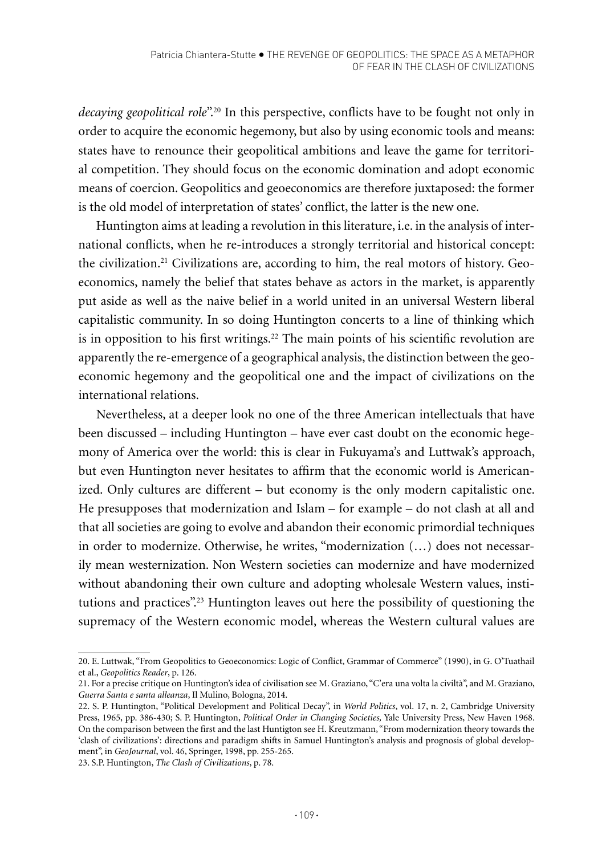*decaying geopolitical role*".<sup>20</sup> In this perspective, conflicts have to be fought not only in order to acquire the economic hegemony, but also by using economic tools and means: states have to renounce their geopolitical ambitions and leave the game for territorial competition. They should focus on the economic domination and adopt economic means of coercion. Geopolitics and geoeconomics are therefore juxtaposed: the former is the old model of interpretation of states' conflict, the latter is the new one.

Huntington aims at leading a revolution in this literature, i.e. in the analysis of international conflicts, when he re-introduces a strongly territorial and historical concept: the civilization.21 Civilizations are, according to him, the real motors of history. Geoeconomics, namely the belief that states behave as actors in the market, is apparently put aside as well as the naive belief in a world united in an universal Western liberal capitalistic community. In so doing Huntington concerts to a line of thinking which is in opposition to his first writings.<sup>22</sup> The main points of his scientific revolution are apparently the re-emergence of a geographical analysis, the distinction between the geoeconomic hegemony and the geopolitical one and the impact of civilizations on the international relations.

Nevertheless, at a deeper look no one of the three American intellectuals that have been discussed – including Huntington – have ever cast doubt on the economic hegemony of America over the world: this is clear in Fukuyama's and Luttwak's approach, but even Huntington never hesitates to affirm that the economic world is Americanized. Only cultures are different – but economy is the only modern capitalistic one. He presupposes that modernization and Islam – for example – do not clash at all and that all societies are going to evolve and abandon their economic primordial techniques in order to modernize. Otherwise, he writes, "modernization (…) does not necessarily mean westernization. Non Western societies can modernize and have modernized without abandoning their own culture and adopting wholesale Western values, institutions and practices".23 Huntington leaves out here the possibility of questioning the supremacy of the Western economic model, whereas the Western cultural values are

<sup>20.</sup> E. Luttwak, "From Geopolitics to Geoeconomics: Logic of Conflict, Grammar of Commerce" (1990), in G. O'Tuathail et al., *Geopolitics Reader*, p. 126.

<sup>21.</sup> For a precise critique on Huntington's idea of civilisation see M. Graziano, "C'era una volta la civiltà", and M. Graziano, *Guerra Santa e santa alleanza*, Il Mulino, Bologna, 2014.

<sup>22.</sup> S. P. Huntington, "Political Development and Political Decay", in *World Politics*, vol. 17, n. 2, Cambridge University Press, 1965, pp. 386-430; S. P. Huntington, *Political Order in Changing Societies,* Yale University Press, New Haven 1968. On the comparison between the first and the last Huntigton see H. Kreutzmann, "From modernization theory towards the 'clash of civilizations': directions and paradigm shifts in Samuel Huntington's analysis and prognosis of global development", in *GeoJournal*, vol. 46, Springer, 1998, pp. 255-265.

<sup>23.</sup> S.P. Huntington, *The Clash of Civilizations*, p. 78.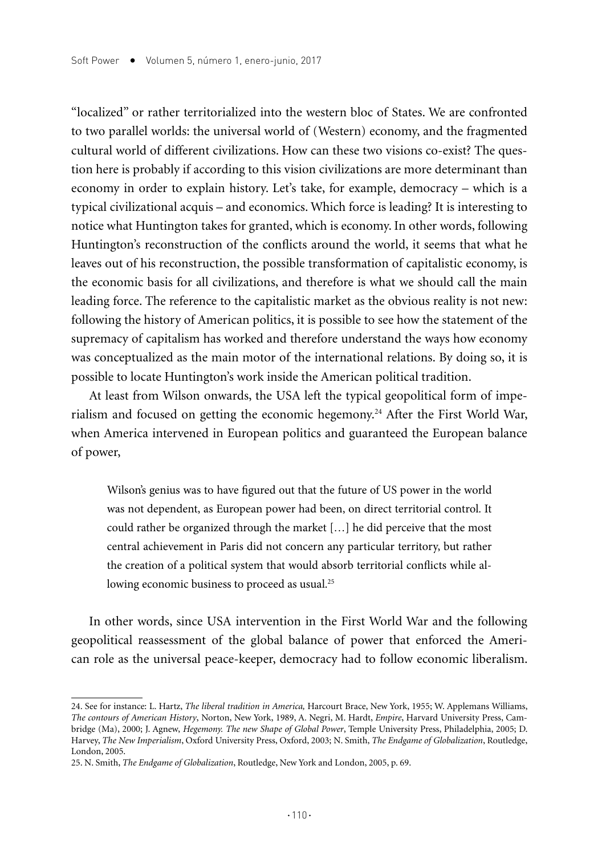"localized" or rather territorialized into the western bloc of States. We are confronted to two parallel worlds: the universal world of (Western) economy, and the fragmented cultural world of different civilizations. How can these two visions co-exist? The question here is probably if according to this vision civilizations are more determinant than economy in order to explain history. Let's take, for example, democracy – which is a typical civilizational acquis – and economics. Which force is leading? It is interesting to notice what Huntington takes for granted, which is economy. In other words, following Huntington's reconstruction of the conflicts around the world, it seems that what he leaves out of his reconstruction, the possible transformation of capitalistic economy, is the economic basis for all civilizations, and therefore is what we should call the main leading force. The reference to the capitalistic market as the obvious reality is not new: following the history of American politics, it is possible to see how the statement of the supremacy of capitalism has worked and therefore understand the ways how economy was conceptualized as the main motor of the international relations. By doing so, it is possible to locate Huntington's work inside the American political tradition.

At least from Wilson onwards, the USA left the typical geopolitical form of imperialism and focused on getting the economic hegemony.24 After the First World War, when America intervened in European politics and guaranteed the European balance of power,

Wilson's genius was to have figured out that the future of US power in the world was not dependent, as European power had been, on direct territorial control. It could rather be organized through the market […] he did perceive that the most central achievement in Paris did not concern any particular territory, but rather the creation of a political system that would absorb territorial conflicts while allowing economic business to proceed as usual.<sup>25</sup>

In other words, since USA intervention in the First World War and the following geopolitical reassessment of the global balance of power that enforced the American role as the universal peace-keeper, democracy had to follow economic liberalism.

<sup>24.</sup> See for instance: L. Hartz, *The liberal tradition in America,* Harcourt Brace, New York, 1955; W. Applemans Williams, *The contours of American History*, Norton, New York, 1989, A. Negri, M. Hardt, *Empire*, Harvard University Press, Cambridge (Ma), 2000; J. Agnew, *Hegemony. The new Shape of Global Power*, Temple University Press, Philadelphia, 2005; D. Harvey, *The New Imperialism*, Oxford University Press, Oxford, 2003; N. Smith, *The Endgame of Globalization*, Routledge, London, 2005.

<sup>25.</sup> N. Smith, *The Endgame of Globalization*, Routledge, New York and London, 2005, p. 69.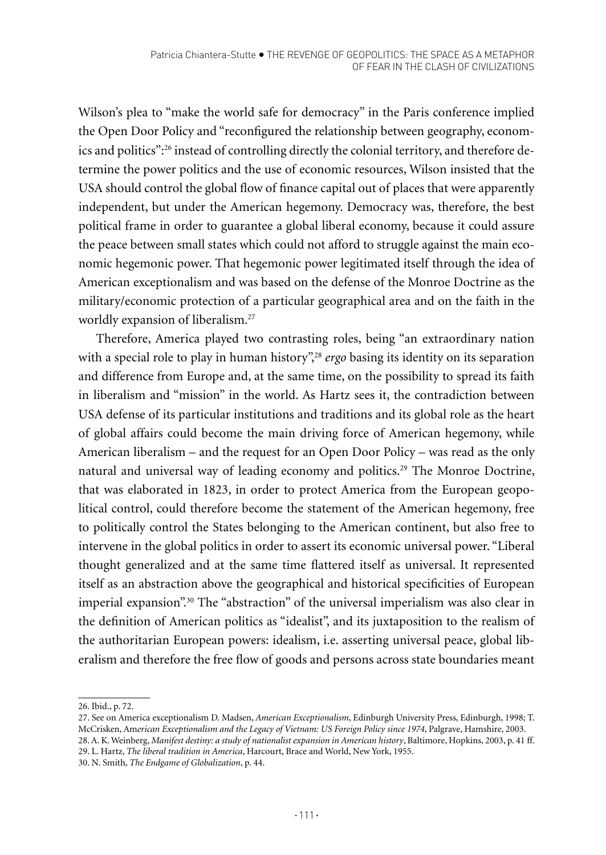Wilson's plea to "make the world safe for democracy" in the Paris conference implied the Open Door Policy and "reconfigured the relationship between geography, economics and politics":26 instead of controlling directly the colonial territory, and therefore determine the power politics and the use of economic resources, Wilson insisted that the USA should control the global flow of finance capital out of places that were apparently independent, but under the American hegemony. Democracy was, therefore, the best political frame in order to guarantee a global liberal economy, because it could assure the peace between small states which could not afford to struggle against the main economic hegemonic power. That hegemonic power legitimated itself through the idea of American exceptionalism and was based on the defense of the Monroe Doctrine as the military/economic protection of a particular geographical area and on the faith in the worldly expansion of liberalism.<sup>27</sup>

Therefore, America played two contrasting roles, being "an extraordinary nation with a special role to play in human history",<sup>28</sup> ergo basing its identity on its separation and difference from Europe and, at the same time, on the possibility to spread its faith in liberalism and "mission" in the world. As Hartz sees it, the contradiction between USA defense of its particular institutions and traditions and its global role as the heart of global affairs could become the main driving force of American hegemony, while American liberalism – and the request for an Open Door Policy – was read as the only natural and universal way of leading economy and politics.29 The Monroe Doctrine, that was elaborated in 1823, in order to protect America from the European geopolitical control, could therefore become the statement of the American hegemony, free to politically control the States belonging to the American continent, but also free to intervene in the global politics in order to assert its economic universal power. "Liberal thought generalized and at the same time flattered itself as universal. It represented itself as an abstraction above the geographical and historical specificities of European imperial expansion".30 The "abstraction" of the universal imperialism was also clear in the definition of American politics as "idealist", and its juxtaposition to the realism of the authoritarian European powers: idealism, i.e. asserting universal peace, global liberalism and therefore the free flow of goods and persons across state boundaries meant

<sup>26.</sup> Ibid., p. 72.

<sup>27.</sup> See on America exceptionalism D. Madsen, *American Exceptionalism*, Edinburgh University Press, Edinburgh, 1998; T. McCrisken, Am*erican Exceptionalism and the Legacy of Vietnam: US Foreign Policy since 1974*, Palgrave, Hamshire, 2003. 28. A. K. Weinberg, *Manifest destiny: a study of nationalist expansion in American history*, Baltimore, Hopkins, 2003, p. 41 ff.

<sup>29.</sup> L. Hartz, *The liberal tradition in America*, Harcourt, Brace and World, New York, 1955.

<sup>30.</sup> N. Smith, *The Endgame of Globalization*, p. 44.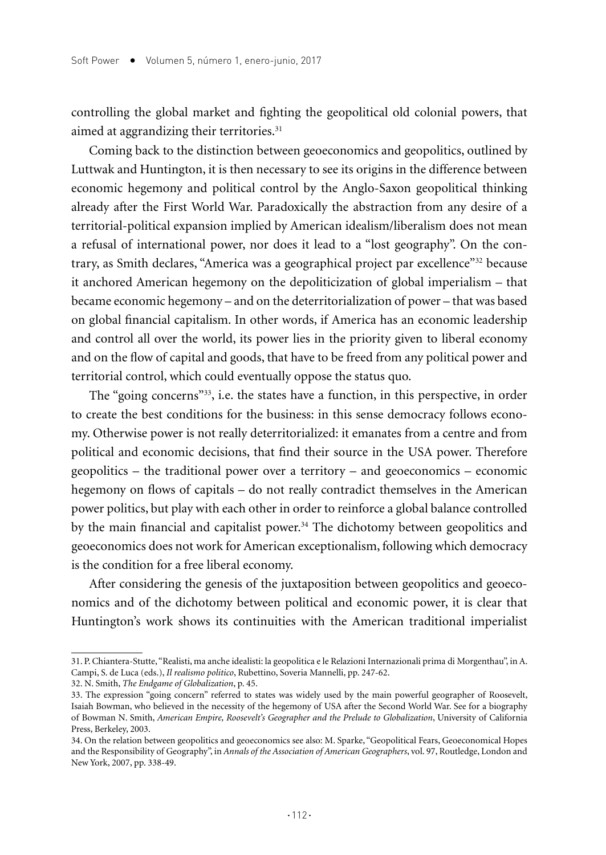controlling the global market and fighting the geopolitical old colonial powers, that aimed at aggrandizing their territories.<sup>31</sup>

Coming back to the distinction between geoeconomics and geopolitics, outlined by Luttwak and Huntington, it is then necessary to see its origins in the difference between economic hegemony and political control by the Anglo-Saxon geopolitical thinking already after the First World War. Paradoxically the abstraction from any desire of a territorial-political expansion implied by American idealism/liberalism does not mean a refusal of international power, nor does it lead to a "lost geography". On the contrary, as Smith declares, "America was a geographical project par excellence"32 because it anchored American hegemony on the depoliticization of global imperialism – that became economic hegemony – and on the deterritorialization of power – that was based on global financial capitalism. In other words, if America has an economic leadership and control all over the world, its power lies in the priority given to liberal economy and on the flow of capital and goods, that have to be freed from any political power and territorial control, which could eventually oppose the status quo.

The "going concerns"33, i.e. the states have a function, in this perspective, in order to create the best conditions for the business: in this sense democracy follows economy. Otherwise power is not really deterritorialized: it emanates from a centre and from political and economic decisions, that find their source in the USA power. Therefore geopolitics – the traditional power over a territory – and geoeconomics – economic hegemony on flows of capitals – do not really contradict themselves in the American power politics, but play with each other in order to reinforce a global balance controlled by the main financial and capitalist power.34 The dichotomy between geopolitics and geoeconomics does not work for American exceptionalism, following which democracy is the condition for a free liberal economy.

After considering the genesis of the juxtaposition between geopolitics and geoeconomics and of the dichotomy between political and economic power, it is clear that Huntington's work shows its continuities with the American traditional imperialist

<sup>31.</sup> P. Chiantera-Stutte, "Realisti, ma anche idealisti: la geopolitica e le Relazioni Internazionali prima di Morgenthau", in A. Campi, S. de Luca (eds.), *Il realismo politico*, Rubettino, Soveria Mannelli, pp. 247-62.

<sup>32.</sup> N. Smith, *The Endgame of Globalization*, p. 45.

<sup>33.</sup> The expression "going concern" referred to states was widely used by the main powerful geographer of Roosevelt, Isaiah Bowman, who believed in the necessity of the hegemony of USA after the Second World War. See for a biography of Bowman N. Smith, *American Empire, Roosevelt's Geographer and the Prelude to Globalization*, University of California Press, Berkeley, 2003.

<sup>34.</sup> On the relation between geopolitics and geoeconomics see also: M. Sparke, "Geopolitical Fears, Geoeconomical Hopes and the Responsibility of Geography", in *Annals of the Association of American Geographers*, vol. 97, Routledge, London and New York, 2007, pp. 338-49.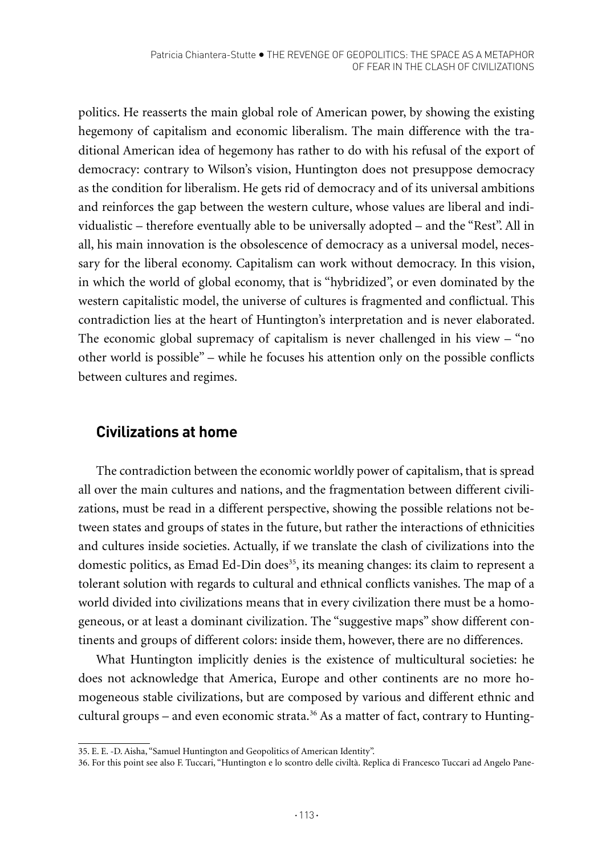politics. He reasserts the main global role of American power, by showing the existing hegemony of capitalism and economic liberalism. The main difference with the traditional American idea of hegemony has rather to do with his refusal of the export of democracy: contrary to Wilson's vision, Huntington does not presuppose democracy as the condition for liberalism. He gets rid of democracy and of its universal ambitions and reinforces the gap between the western culture, whose values are liberal and individualistic – therefore eventually able to be universally adopted – and the "Rest". All in all, his main innovation is the obsolescence of democracy as a universal model, necessary for the liberal economy. Capitalism can work without democracy. In this vision, in which the world of global economy, that is "hybridized", or even dominated by the western capitalistic model, the universe of cultures is fragmented and conflictual. This contradiction lies at the heart of Huntington's interpretation and is never elaborated. The economic global supremacy of capitalism is never challenged in his view – "no other world is possible" – while he focuses his attention only on the possible conflicts between cultures and regimes.

## **Civilizations at home**

The contradiction between the economic worldly power of capitalism, that is spread all over the main cultures and nations, and the fragmentation between different civilizations, must be read in a different perspective, showing the possible relations not between states and groups of states in the future, but rather the interactions of ethnicities and cultures inside societies. Actually, if we translate the clash of civilizations into the domestic politics, as Emad Ed-Din does<sup>35</sup>, its meaning changes: its claim to represent a tolerant solution with regards to cultural and ethnical conflicts vanishes. The map of a world divided into civilizations means that in every civilization there must be a homogeneous, or at least a dominant civilization. The "suggestive maps" show different continents and groups of different colors: inside them, however, there are no differences.

What Huntington implicitly denies is the existence of multicultural societies: he does not acknowledge that America, Europe and other continents are no more homogeneous stable civilizations, but are composed by various and different ethnic and cultural groups – and even economic strata.<sup>36</sup> As a matter of fact, contrary to Hunting-

<sup>35.</sup> E. E. -D. Aisha, "Samuel Huntington and Geopolitics of American Identity".

<sup>36.</sup> For this point see also F. Tuccari, "Huntington e lo scontro delle civiltà. Replica di Francesco Tuccari ad Angelo Pane-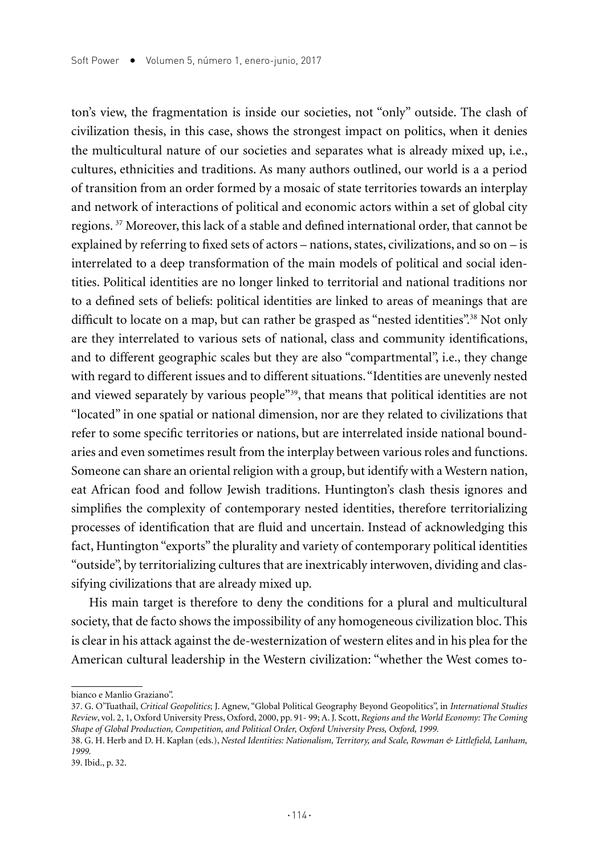ton's view, the fragmentation is inside our societies, not "only" outside. The clash of civilization thesis, in this case, shows the strongest impact on politics, when it denies the multicultural nature of our societies and separates what is already mixed up, i.e., cultures, ethnicities and traditions. As many authors outlined, our world is a a period of transition from an order formed by a mosaic of state territories towards an interplay and network of interactions of political and economic actors within a set of global city regions.<sup>37</sup> Moreover, this lack of a stable and defined international order, that cannot be explained by referring to fixed sets of actors – nations, states, civilizations, and so on – is interrelated to a deep transformation of the main models of political and social identities. Political identities are no longer linked to territorial and national traditions nor to a defined sets of beliefs: political identities are linked to areas of meanings that are difficult to locate on a map, but can rather be grasped as "nested identities".<sup>38</sup> Not only are they interrelated to various sets of national, class and community identifications, and to different geographic scales but they are also "compartmental", i.e., they change with regard to different issues and to different situations. "Identities are unevenly nested and viewed separately by various people"<sup>39</sup>, that means that political identities are not "located" in one spatial or national dimension, nor are they related to civilizations that refer to some specific territories or nations, but are interrelated inside national boundaries and even sometimes result from the interplay between various roles and functions. Someone can share an oriental religion with a group, but identify with a Western nation, eat African food and follow Jewish traditions. Huntington's clash thesis ignores and simplifies the complexity of contemporary nested identities, therefore territorializing processes of identification that are fluid and uncertain. Instead of acknowledging this fact, Huntington "exports" the plurality and variety of contemporary political identities "outside", by territorializing cultures that are inextricably interwoven, dividing and classifying civilizations that are already mixed up.

His main target is therefore to deny the conditions for a plural and multicultural society, that de facto shows the impossibility of any homogeneous civilization bloc. This is clear in his attack against the de-westernization of western elites and in his plea for the American cultural leadership in the Western civilization: "whether the West comes to-

bianco e Manlio Graziano".

<sup>37.</sup> G. O'Tuathail, *Critical Geopolitics*; J. Agnew, "Global Political Geography Beyond Geopolitics", in *International Studies Review*, vol. 2, 1, Oxford University Press, Oxford, 2000, pp. 91- 99; A. J. Scott, *Regions and the World Economy: The Coming Shape of Global Production, Competition, and Political Order, Oxford University Press, Oxford, 1999.*

<sup>38.</sup> G. H. Herb and D. H. Kaplan (eds.), *Nested Identities: Nationalism, Territory, and Scale, Rowman & Littlefield, Lanham, 1999.*

<sup>39.</sup> Ibid., p. 32.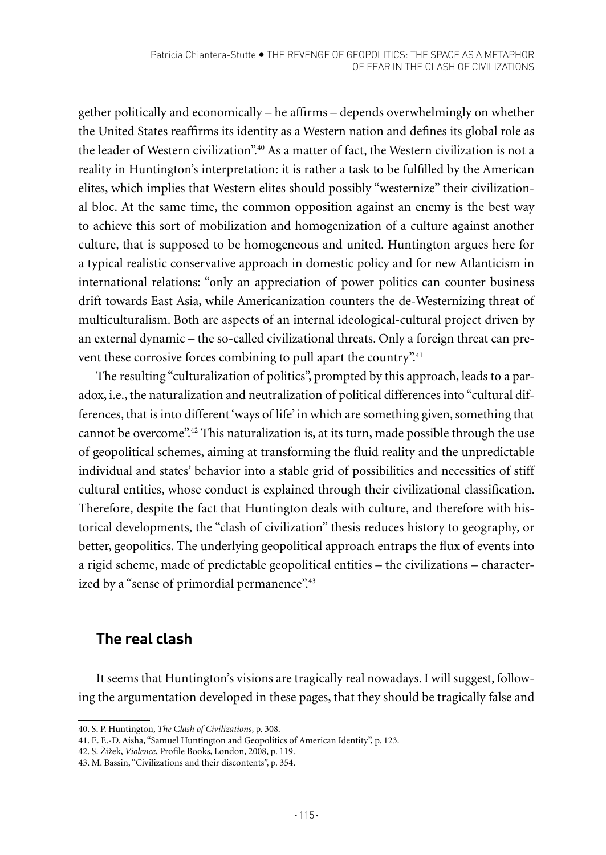gether politically and economically – he affirms – depends overwhelmingly on whether the United States reaffirms its identity as a Western nation and defines its global role as the leader of Western civilization".<sup>40</sup> As a matter of fact, the Western civilization is not a reality in Huntington's interpretation: it is rather a task to be fulfilled by the American elites, which implies that Western elites should possibly "westernize" their civilizational bloc. At the same time, the common opposition against an enemy is the best way to achieve this sort of mobilization and homogenization of a culture against another culture, that is supposed to be homogeneous and united. Huntington argues here for a typical realistic conservative approach in domestic policy and for new Atlanticism in international relations: "only an appreciation of power politics can counter business drift towards East Asia, while Americanization counters the de-Westernizing threat of multiculturalism. Both are aspects of an internal ideological-cultural project driven by an external dynamic – the so-called civilizational threats. Only a foreign threat can prevent these corrosive forces combining to pull apart the country".<sup>41</sup>

The resulting "culturalization of politics", prompted by this approach, leads to a paradox, i.e., the naturalization and neutralization of political differences into "cultural differences, that is into different 'ways of life' in which are something given, something that cannot be overcome".42 This naturalization is, at its turn, made possible through the use of geopolitical schemes, aiming at transforming the fluid reality and the unpredictable individual and states' behavior into a stable grid of possibilities and necessities of stiff cultural entities, whose conduct is explained through their civilizational classification. Therefore, despite the fact that Huntington deals with culture, and therefore with historical developments, the "clash of civilization" thesis reduces history to geography, or better, geopolitics. The underlying geopolitical approach entraps the flux of events into a rigid scheme, made of predictable geopolitical entities – the civilizations – characterized by a "sense of primordial permanence".<sup>43</sup>

# **The real clash**

It seems that Huntington's visions are tragically real nowadays. I will suggest, following the argumentation developed in these pages, that they should be tragically false and

<sup>40.</sup> S. P. Huntington, *The* C*lash of Civilizations*, p. 308.

<sup>41.</sup> E. E.-D. Aisha, "Samuel Huntington and Geopolitics of American Identity", p. 123.

<sup>42.</sup> S. Žižek, *Violence*, Profile Books, London, 2008, p. 119.

<sup>43.</sup> M. Bassin, "Civilizations and their discontents", p. 354.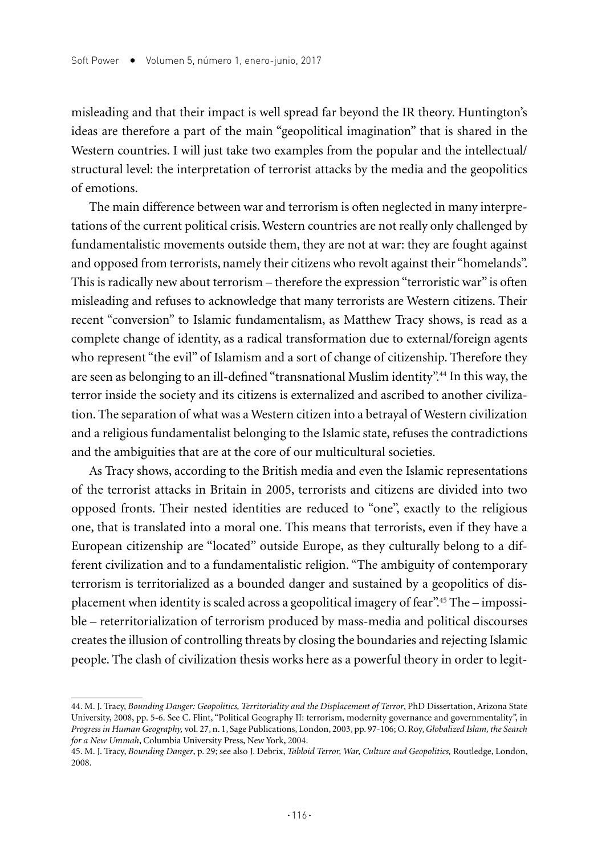misleading and that their impact is well spread far beyond the IR theory. Huntington's ideas are therefore a part of the main "geopolitical imagination" that is shared in the Western countries. I will just take two examples from the popular and the intellectual/ structural level: the interpretation of terrorist attacks by the media and the geopolitics of emotions.

The main difference between war and terrorism is often neglected in many interpretations of the current political crisis. Western countries are not really only challenged by fundamentalistic movements outside them, they are not at war: they are fought against and opposed from terrorists, namely their citizens who revolt against their "homelands". This is radically new about terrorism – therefore the expression "terroristic war" is often misleading and refuses to acknowledge that many terrorists are Western citizens. Their recent "conversion" to Islamic fundamentalism, as Matthew Tracy shows, is read as a complete change of identity, as a radical transformation due to external/foreign agents who represent "the evil" of Islamism and a sort of change of citizenship. Therefore they are seen as belonging to an ill-defined "transnational Muslim identity".44 In this way, the terror inside the society and its citizens is externalized and ascribed to another civilization. The separation of what was a Western citizen into a betrayal of Western civilization and a religious fundamentalist belonging to the Islamic state, refuses the contradictions and the ambiguities that are at the core of our multicultural societies.

As Tracy shows, according to the British media and even the Islamic representations of the terrorist attacks in Britain in 2005, terrorists and citizens are divided into two opposed fronts. Their nested identities are reduced to "one", exactly to the religious one, that is translated into a moral one. This means that terrorists, even if they have a European citizenship are "located" outside Europe, as they culturally belong to a different civilization and to a fundamentalistic religion. "The ambiguity of contemporary terrorism is territorialized as a bounded danger and sustained by a geopolitics of displacement when identity is scaled across a geopolitical imagery of fear".45 The – impossible – reterritorialization of terrorism produced by mass-media and political discourses creates the illusion of controlling threats by closing the boundaries and rejecting Islamic people. The clash of civilization thesis works here as a powerful theory in order to legit-

<sup>44.</sup> M. J. Tracy, *Bounding Danger: Geopolitics, Territoriality and the Displacement of Terror*, PhD Dissertation, Arizona State University, 2008, pp. 5-6. See C. Flint, "Political Geography II: terrorism, modernity governance and governmentality", in *Progress in Human Geography,* vol. 27, n. 1, Sage Publications, London, 2003, pp. 97-106; O. Roy, *Globalized Islam, the Search for a New Ummah*, Columbia University Press, New York, 2004.

<sup>45.</sup> M. J. Tracy, *Bounding Danger*, p. 29; see also J. Debrix, *Tabloid Terror, War, Culture and Geopolitics,* Routledge, London, 2008.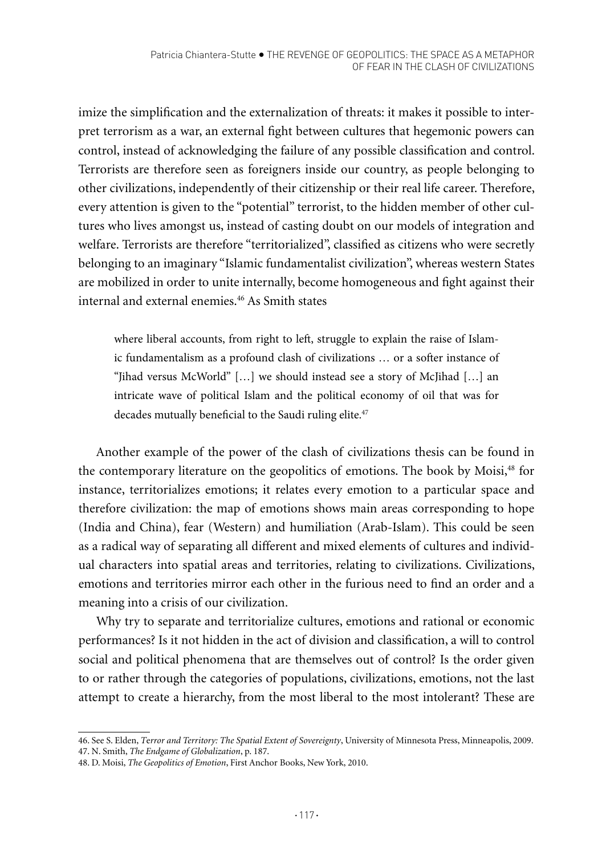imize the simplification and the externalization of threats: it makes it possible to interpret terrorism as a war, an external fight between cultures that hegemonic powers can control, instead of acknowledging the failure of any possible classification and control. Terrorists are therefore seen as foreigners inside our country, as people belonging to other civilizations, independently of their citizenship or their real life career. Therefore, every attention is given to the "potential" terrorist, to the hidden member of other cultures who lives amongst us, instead of casting doubt on our models of integration and welfare. Terrorists are therefore "territorialized", classified as citizens who were secretly belonging to an imaginary "Islamic fundamentalist civilization", whereas western States are mobilized in order to unite internally, become homogeneous and fight against their internal and external enemies.46 As Smith states

where liberal accounts, from right to left, struggle to explain the raise of Islamic fundamentalism as a profound clash of civilizations … or a softer instance of "Jihad versus McWorld" […] we should instead see a story of McJihad […] an intricate wave of political Islam and the political economy of oil that was for decades mutually beneficial to the Saudi ruling elite.<sup>47</sup>

Another example of the power of the clash of civilizations thesis can be found in the contemporary literature on the geopolitics of emotions. The book by Moisi,<sup>48</sup> for instance, territorializes emotions; it relates every emotion to a particular space and therefore civilization: the map of emotions shows main areas corresponding to hope (India and China), fear (Western) and humiliation (Arab-Islam). This could be seen as a radical way of separating all different and mixed elements of cultures and individual characters into spatial areas and territories, relating to civilizations. Civilizations, emotions and territories mirror each other in the furious need to find an order and a meaning into a crisis of our civilization.

Why try to separate and territorialize cultures, emotions and rational or economic performances? Is it not hidden in the act of division and classification, a will to control social and political phenomena that are themselves out of control? Is the order given to or rather through the categories of populations, civilizations, emotions, not the last attempt to create a hierarchy, from the most liberal to the most intolerant? These are

<sup>46.</sup> See S. Elden, *T*e*rror and Territory: The Spatial Extent of Sovereignty*, University of Minnesota Press, Minneapolis, 2009. 47. N. Smith, *The Endgame of Globalization*, p. 187.

<sup>48.</sup> D. Moisi, *The Geopolitics of Emotion*, First Anchor Books, New York, 2010.